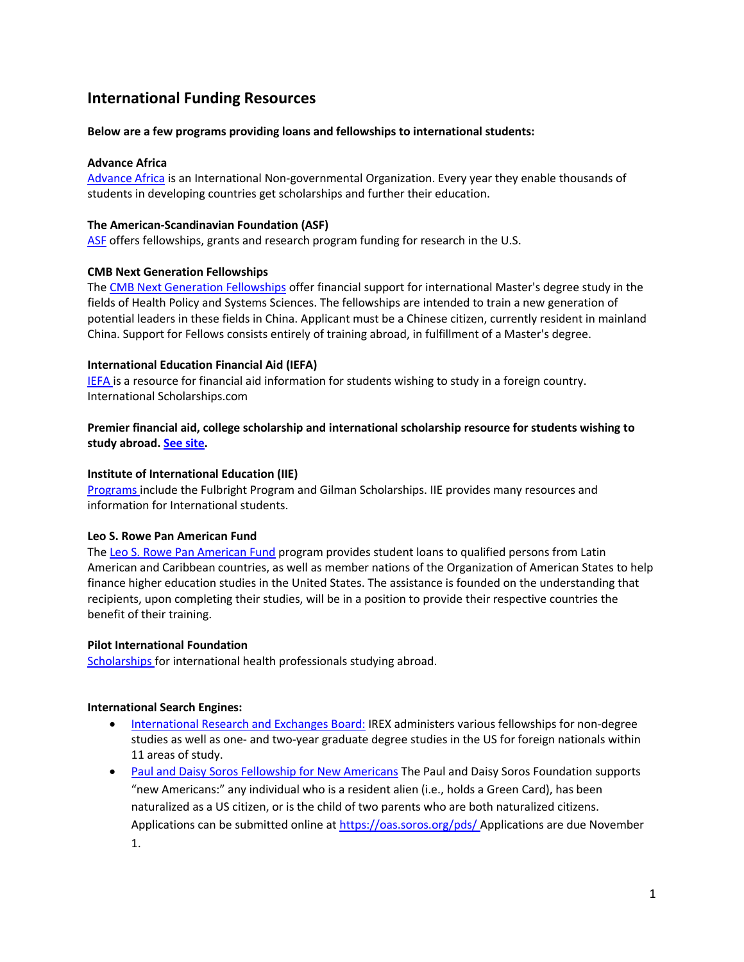# **International Funding Resources**

#### **Below are a few programs providing loans and fellowships to international students:**

#### **Advance Africa**

[Advance Africa](http://www.advance-africa.com/) is an International Non-governmental Organization. Every year they enable thousands of students in developing countries get scholarships and further their education.

#### **The American-Scandinavian Foundation (ASF)**

[ASF](http://www.amscan.org/fellowships_grants.html) offers fellowships, grants and research program funding for research in the U.S.

## **CMB Next Generation Fellowships**

The [CMB Next Generation Fellowships](http://www.iiebeijing.org/cmb/ng/ng.html) offer financial support for international Master's degree study in the fields of Health Policy and Systems Sciences. The fellowships are intended to train a new generation of potential leaders in these fields in China. Applicant must be a Chinese citizen, currently resident in mainland China. Support for Fellows consists entirely of training abroad, in fulfillment of a Master's degree.

## **International Education Financial Aid (IEFA)**

[IEFA i](http://www.iefa.org/)s a resource for financial aid information for students wishing to study in a foreign country. International Scholarships.com

## **Premier financial aid, college scholarship and international scholarship resource for students wishing to study abroad[. See site.](http://www.internationalscholarships.com/)**

## **Institute of International Education (IIE)**

[Programs i](http://www.iie.org/en)nclude the Fulbright Program and Gilman Scholarships. IIE provides many resources and information for International students.

#### **Leo S. Rowe Pan American Fund**

The [Leo S. Rowe Pan American Fund](http://www.oas.org/rowe/) program provides student loans to qualified persons from Latin American and Caribbean countries, as well as member nations of the Organization of American States to help finance higher education studies in the United States. The assistance is founded on the understanding that recipients, upon completing their studies, will be in a position to provide their respective countries the benefit of their training.

#### **Pilot International Foundation**

[Scholarships f](http://www.pilotinternational.org/html/foundation/scholar.shtml)or international health professionals studying abroad.

#### **International Search Engines:**

- [International Research and Exchanges Board:](http://www.irex.org/) IREX administers various fellowships for non-degree studies as well as one- and two-year graduate degree studies in the US for foreign nationals within 11 areas of study.
- [Paul and Daisy Soros Fellowship for New Americans](http://www.pdsoros.org/) The Paul and Daisy Soros Foundation supports "new Americans:" any individual who is a resident alien (i.e., holds a Green Card), has been naturalized as a US citizen, or is the child of two parents who are both naturalized citizens. Applications can be submitted online a[t https://oas.soros.org/pds/](https://oas.soros.org/pds/) Applications are due November 1.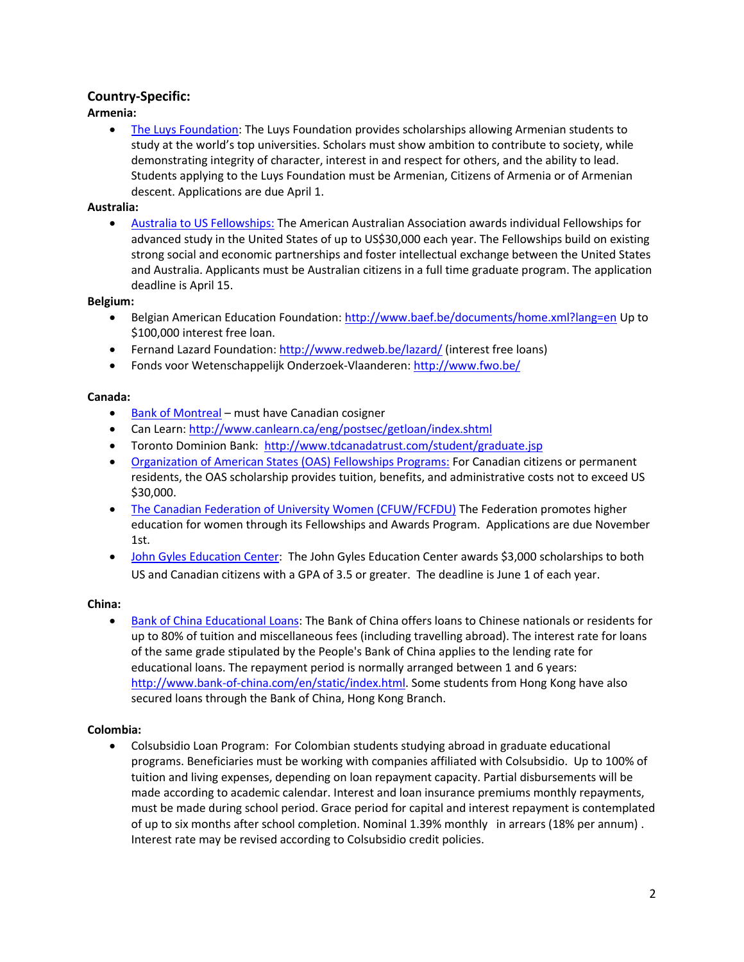# **Country-Specific:**

**Armenia:**

• [The Luys Foundation:](http://www.luys.am/en/programs/scholarship/) The Luys Foundation provides scholarships allowing Armenian students to study at the world's top universities. Scholars must show ambition to contribute to society, while demonstrating integrity of character, interest in and respect for others, and the ability to lead. Students applying to the Luys Foundation must be Armenian, Citizens of Armenia or of Armenian descent. Applications are due April 1.

# **Australia:**

 Australia [to US Fellowships:](http://www.americanaustralian.org/australian_to_usa_apps/) The American Australian Association awards individual Fellowships for advanced study in the United States of up to US\$30,000 each year. The Fellowships build on existing strong social and economic partnerships and foster intellectual exchange between the United States and Australia. Applicants must be Australian citizens in a full time graduate program. The application deadline is April 15.

## **Belgium:**

- Belgian American Education Foundation:<http://www.baef.be/documents/home.xml?lang=en> Up to \$100,000 interest free loan.
- Fernand Lazard Foundation:<http://www.redweb.be/lazard/> (interest free loans)
- Fonds voor Wetenschappelijk Onderzoek-Vlaanderen[: http://www.fwo.be/](http://www.fwo.be/)

# **Canada:**

- [Bank of Montreal](http://www.bmo.com/home/personal/banking/mortgages-loans/loans-loc/loc/student-loc) must have Canadian cosigner
- Can Learn: <http://www.canlearn.ca/eng/postsec/getloan/index.shtml>
- Toronto Dominion Bank:<http://www.tdcanadatrust.com/student/graduate.jsp>
- [Organization of American States \(OAS\) Fellowships Programs:](http://www.scholarships.gc.ca/) For Canadian citizens or permanent residents, the OAS scholarship provides tuition, benefits, and administrative costs not to exceed US \$30,000.
- [The Canadian Federation of University Women \(CFUW/FCFDU\)](http://www.cfuw.org/) The Federation promotes higher education for women through its Fellowships and Awards Program. Applications are due November 1st.
- [John Gyles Education Center:](http://www.johngyleseducationcenter.com/) The John Gyles Education Center awards \$3,000 scholarships to both US and Canadian citizens with a GPA of 3.5 or greater. The deadline is June 1 of each year.

# **China:**

 [Bank of China Educational Loans:](http://www.bankofchina.com/en/pbservice/pb2/200810/t20081024_7768.html?keywords=student+loans) The Bank of China offers loans to Chinese nationals or residents for up to 80% of tuition and miscellaneous fees (including travelling abroad). The interest rate for loans of the same grade stipulated by the People's Bank of China applies to the lending rate for educational loans. The repayment period is normally arranged between 1 and 6 years: [http://www.bank-of-china.com/en/static/index.html.](http://www.bank-of-china.com/en/static/index.html) Some students from Hong Kong have also secured loans through the Bank of China, Hong Kong Branch.

# **Colombia:**

 Colsubsidio Loan Program: For Colombian students studying abroad in graduate educational programs. Beneficiaries must be working with companies affiliated with Colsubsidio. Up to 100% of tuition and living expenses, depending on loan repayment capacity. Partial disbursements will be made according to academic calendar. Interest and loan insurance premiums monthly repayments, must be made during school period. Grace period for capital and interest repayment is contemplated of up to six months after school completion. Nominal 1.39% monthly in arrears (18% per annum) . Interest rate may be revised according to Colsubsidio credit policies.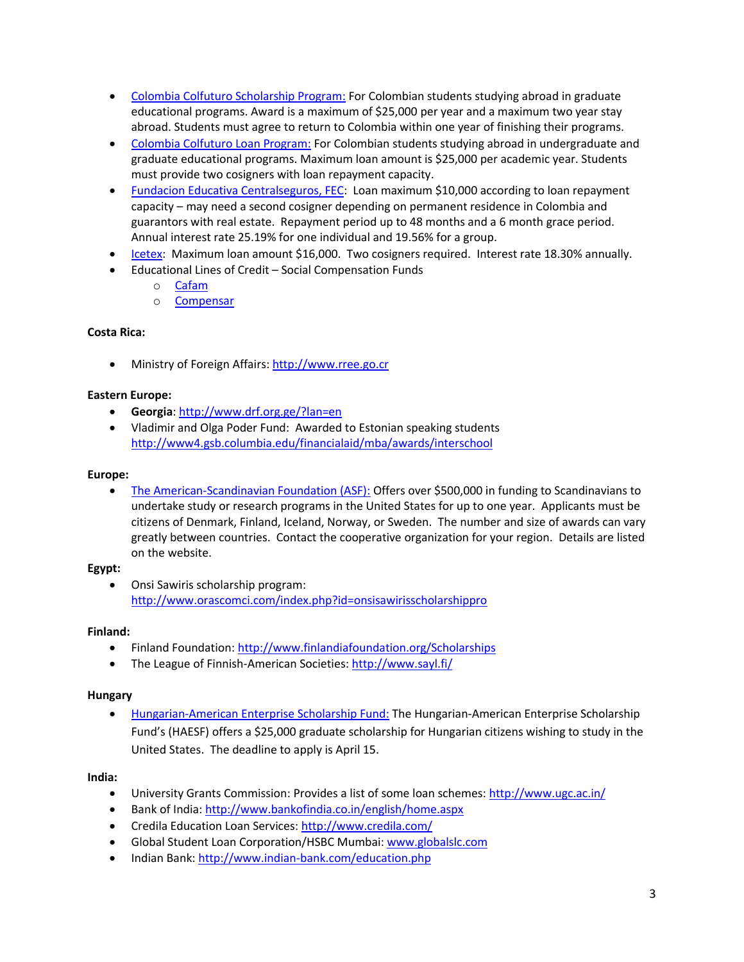- [Colombia Colfuturo Scholarship Program:](http://www.colfuturo.org/) For Colombian students studying abroad in graduate educational programs. Award is a maximum of \$25,000 per year and a maximum two year stay abroad. Students must agree to return to Colombia within one year of finishing their programs.
- [Colombia Colfuturo Loan Program:](http://www.colfuturo.org/) For Colombian students studying abroad in undergraduate and graduate educational programs. Maximum loan amount is \$25,000 per academic year. Students must provide two cosigners with loan repayment capacity.
- [Fundacion Educativa Centralseguros, FEC:](http://www.utadeo.edu.co/dependencias/afinanciero/credito_postgrado/pdf/fec.pdf) Loan maximum \$10,000 according to loan repayment capacity – may need a second cosigner depending on permanent residence in Colombia and guarantors with real estate. Repayment period up to 48 months and a 6 month grace period. Annual interest rate 25.19% for one individual and 19.56% for a group.
- [Icetex:](http://www.icetex.gov.co/) Maximum loan amount \$16,000. Two cosigners required. Interest rate 18.30% annually.
- Educational Lines of Credit Social Compensation Funds
	- o [Cafam](http://www.cafam.com/Paginas/NewsDetailList.aspx?NewId=268&Section=17&MenuItem=191)
	- o [Compensar](http://www.compensar.com/credito/eduSup.aspx)

## **Costa Rica:**

Ministry of Foreign Affairs: [http://www.rree.go.cr](http://www.rree.go.cr/) 

## **Eastern Europe:**

- **Georgia**[: http://www.drf.org.ge/?lan=en](http://www.drf.org.ge/?lan=en)
- Vladimir and Olga Poder Fund: Awarded to Estonian speaking students <http://www4.gsb.columbia.edu/financialaid/mba/awards/interschool>

## **Europe:**

 [The American-Scandinavian Foundation \(ASF\):](http://www.amscan.org/study_in_america_details.html) Offers over \$500,000 in funding to Scandinavians to undertake study or research programs in the United States for up to one year. Applicants must be citizens of Denmark, Finland, Iceland, Norway, or Sweden. The number and size of awards can vary greatly between countries. Contact the cooperative organization for your region. Details are listed on the website.

#### **Egypt:**

 Onsi Sawiris scholarship program: <http://www.orascomci.com/index.php?id=onsisawirisscholarshippro>

#### **Finland:**

- Finland Foundation[: http://www.finlandiafoundation.org/Scholarships](http://www.finlandiafoundation.org/Scholarships)
- The League of Finnish-American Societies[: http://www.sayl.fi/](http://www.sayl.fi/)

#### **Hungary**

• [Hungarian-American Enterprise Scholarship Fund:](http://www.haesf.org/) The Hungarian-American Enterprise Scholarship Fund's (HAESF) offers a \$25,000 graduate scholarship for Hungarian citizens wishing to study in the United States. The deadline to apply is April 15.

#### **India:**

- University Grants Commission: Provides a list of some loan schemes[: http://www.ugc.ac.in/](http://www.ugc.ac.in/)
- Bank of India:<http://www.bankofindia.co.in/english/home.aspx>
- Credila Education Loan Services:<http://www.credila.com/>
- Global Student Loan Corporation/HSBC Mumbai: [www.globalslc.com](http://www.globalslc.com/)
- Indian Bank:<http://www.indian-bank.com/education.php>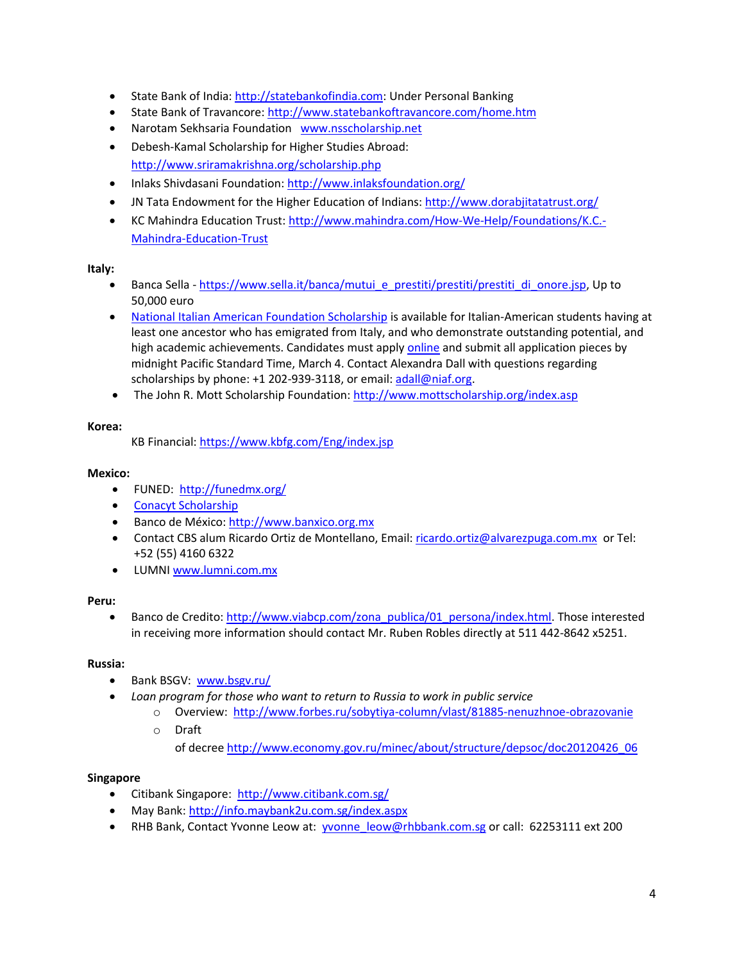- State Bank of India[: http://statebankofindia.com:](http://statebankofindia.com/) Under Personal Banking
- State Bank of Travancore: http://www.statebankoftravancore.com/home.htm
- Narotam Sekhsaria Foundation [www.nsscholarship.net](http://www.nsscholarship.net/)
- Debesh-Kamal Scholarship for Higher Studies Abroad: <http://www.sriramakrishna.org/scholarship.php>
- Inlaks Shivdasani Foundation[: http://www.inlaksfoundation.org/](http://www.inlaksfoundation.org/)
- JN Tata Endowment for the Higher Education of Indians:<http://www.dorabjitatatrust.org/>
- KC Mahindra Education Trust[: http://www.mahindra.com/How-We-Help/Foundations/K.C.-](http://www.mahindra.com/How-We-Help/Foundations/K.C.-Mahindra-Education-Trust) [Mahindra-Education-Trust](http://www.mahindra.com/How-We-Help/Foundations/K.C.-Mahindra-Education-Trust)

## **Italy:**

- Banca Sella [https://www.sella.it/banca/mutui\\_e\\_prestiti/prestiti/prestiti\\_di\\_onore.jsp,](https://www.sella.it/banca/mutui_e_prestiti/prestiti/prestiti_di_onore.jsp) Up to 50,000 euro
- [National Italian American Foundation Scholarship](http://www.niaf.org/scholarships/) is available for Italian-American students having at least one ancestor who has emigrated from Italy, and who demonstrate outstanding potential, and high academic achievements. Candidates must appl[y online](http://www.niaf.org/scholarships/index.asp) and submit all application pieces by midnight Pacific Standard Time, March 4. Contact Alexandra Dall with questions regarding scholarships by phone: +1 202-939-3118, or email: [adall@niaf.org.](mailto:adall@niaf.org)
- The John R. Mott Scholarship Foundation:<http://www.mottscholarship.org/index.asp>

## **Korea:**

KB Financial:<https://www.kbfg.com/Eng/index.jsp>

## **Mexico:**

- FUNED:<http://funedmx.org/>
- [Conacyt Scholarship](http://www.nesomexico.org/dutch-organizations/market-information/scholarships-for-mexican-students/conacyt-1)
- Banco de México[: http://www.banxico.org.mx](http://www.banxico.org.mx/)
- Contact CBS alum Ricardo Ortiz de Montellano, Email: [ricardo.ortiz@alvarezpuga.com.mx](mailto:ricardo.ortiz@alvarezpuga.com.mx) or Tel: +52 (55) 4160 6322
- LUMNI [www.lumni.com.mx](http://www.lumni.com.mx/)

# **Peru:**

• Banco de Credito[: http://www.viabcp.com/zona\\_publica/01\\_persona/index.html.](http://www.viabcp.com/zona_publica/01_persona/index.html) Those interested in receiving more information should contact Mr. Ruben Robles directly at 511 442-8642 x5251.

# **Russia:**

- Bank BSGV: [www.bsgv.ru/](http://www.bsgv.ru/)
- *Loan program for those who want to return to Russia to work in public service*
	- o Overview: <http://www.forbes.ru/sobytiya-column/vlast/81885-nenuzhnoe-obrazovanie> o Draft

of decree [http://www.economy.gov.ru/minec/about/structure/depsoc/doc20120426\\_06](http://www.economy.gov.ru/minec/about/structure/depsoc/doc20120426_06)

# **Singapore**

- Citibank Singapore:<http://www.citibank.com.sg/>
- May Bank[: http://info.maybank2u.com.sg/index.aspx](http://info.maybank2u.com.sg/index.aspx)
- RHB Bank, Contact Yvonne Leow at: **yvonne** leow@rhbbank.com.sg or call: 62253111 ext 200